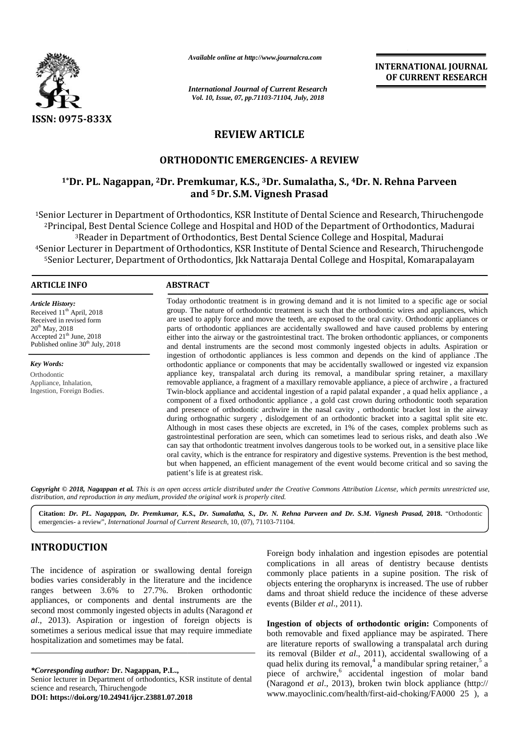

*Available online at http://www.journalcra.com*

*International Journal of Current Research Vol. 10, Issue, 07, pp.71103-71104, July, 2018*

**INTERNATIONAL JOURNAL OF CURRENT RESEARCH**

# **REVIEW ARTICLE REVIEW**

## **ORTHODONTIC EMERGENCIES- A REVIEW**

## **1\*Dr. PL. Nagappan, <sup>2</sup>Dr. Premkumar, K.S., <sup>3</sup>Dr. Sumalatha, S., <sup>4</sup>Dr. N. Rehna Parveen 3 and <sup>5</sup> Dr. S.M. Vignesh Prasad**

<sup>1</sup>Senior Lecturer in Department of Orthodontics, KSR Institute of Dental Science and Research, Thiruchengode <sup>2</sup>Principal, Best Dental Science College and Hospital and HOD of the Department of Orthodontics, Madurai )al, Best Dental Science College and Hospital and HOD of the Department of Orthodontics, Madu<br><sup>3</sup>Reader in Department of Orthodontics, Best Dental Science College and Hospital, Madurai <sup>4</sup>Senior Lecturer in Department of Orthodontics, KSR Institute of Dental Science and Research, Thiruchengode <sup>4</sup>Senior Lecturer in Department of Orthodontics, KSR Institute of Dental Science and Research, Thiruchengode<br><sup>5</sup>Senior Lecturer, Department of Orthodontics, Jkk Nattaraja Dental College and Hospital, Komarapalayam

### **ARTICLE INFO ABSTRACT ARTICLE**

*Article History:* Received 11<sup>th</sup> April, 2018 Received in revised form 20<sup>th</sup> May, 2018 Accepted  $21<sup>th</sup>$  June, 2018 Published online 30<sup>th</sup> July, 2018

*Key Words:* Orthodontic Appliance, Inhalation, Ingestion, Foreign Bodies.

Today orthodontic treatment is in growing demand and it is not limited to a specific age or social group. The nature of orthodontic treatment is such that the orthodontic wires and appliances, which are used to apply force and move the teeth, are exposed to the oral cavity. Orthodontic appliances or parts of orthodontic appliances are accidentally swallowed and have caused problems by entering either into the airway or the gastrointestinal tract. The broken orthodontic appliances, or components and dental instruments are the second most commonly ingested objects in adults. Aspiration or ingestion of orthodontic appliances is less common and depends on the kind of appliance .The orthodontic appliance or components that may be accidentally swallowed or ingested viz expansion appliance key, transpalatal arch during its removal, a mandibular spring retainer, a maxillary removable appliance, a fragment of a maxillary removable appliance, a piece of archwire , a fractured Twin-block appliance and accidental ingestion of a rapid palatal expander , a quad helix appliance , a component of a fixed orthodontic appliance , a gold cast crown during orthodontic tooth separation and presence of orthodontic archwire in the nasal cavity , orthodontic bracket lost in the airway during orthognathic surgery , dislodgement of an orthodontic bracket into a sagittal split site etc. Although in most cases these objects are excreted, in 1% of the cases, complex problems such as gastrointestinal perforation are seen, which can sometimes lead to serious risks, and death also .We can say that orthodontic treatment involves dangerous tools to be worked out, in a sensitive place like oral cavity, which is the entrance for respiratory and digestive systems. Prevention is the best method, but when happened, an efficient management of the event would become critical and so saving the patient's life is at greatest risk. patient's Today orthodontic treatment is in growing demand and it is not limited to a specific age or social<br>group. The nature of orthodontic treatment is such that the orthodontic wires and appliances, which<br>are used to apply force **DECORD PRINCIPS CONSULT ASSEMGER POSITION.** The increase of the increase of the increase of the increase of the increase of the increase of original place of the increase of the increase of the increase of the increase o **Citation:***PL. Dr. N.*  **2018.**Orthodonticemergencies-review, *http://www.journalcra.com*OrthodonticIngestion, .Thefractured**EXERENCE INTERFERICATION AND UNITERATY INTERFERICANTS AND INTERFERICANTS (SEE ANTIFICANTS) (SEE ANTIFICANTS) (SEE ANTIFICANTS) (SEE ANTIFICANTS) (SEE ANTIFICANTS) (SEE ANTIFICANTS) (SEE ANTIFICANTS) (SEE ANTIFICANTS) (SE** 

Copyright © 2018, Nagappan et al. This is an open access article distributed under the Creative Commons Attribution License, which permits unrestricted use, *distribution, and reproduction in any medium, provided the original work is properly cited. distribution,any*

**Citation:** *Dr. PL. Nagappan, Dr. Premkumar, K.S., Dr. Sumalatha, S., Dr. N. Rehna Parveen and Dr.S.M. Vignesh Prasad,* **2018.** "Orthodontic emergencies- a review", *International Journal of Current Research*, 10, (07), 71103-71104.

## **INTRODUCTION INTRODUCTION**

The incidence of aspiration or swallowing dental foreign bodies varies considerably in the literature and the incidence <sub>obje</sub> ranges between 3.6% to 27.7%. Broken orthodontic appliances, or components and dental instruments are the second most commonly ingested objects in adults (Naragond *et al*., 2013). Aspiration or ingestion of foreign objects is sometimes a serious medical issue that may require immediate  $\overline{h_{\text{off}}}$ hospitalization and sometimes may be fatal. The incidence of aspiration or swallowing dental for<br>bodies varies considerably in the literature and the incide<br>ranges between 3.6% to 27.7%. Broken orthodo<br>appliances, or components and dental instruments are<br>second most *al.*, 2013). Aspiration or ingestion of foreign sometimes a serious medical issue that may require hospitalization and sometimes may be fatal.

*\*Corresponding author:* **Dr. Nagappan, P.L.,** *\*Corresponding* Senior lecturer in Department of orthodontics, KSR institute of dental science and research, Thiruchengode science and research, Thiruchengode

**DOI: https://doi.org/10.24941/ijcr.23881.07.2018**

Foreign body inhalation and ingestion episodes are potential complications in all areas of dentistry because dentists commonly place patients in a supine position. The risk of objects entering the oropharynx is increased. The use of rubber dams and throat shield reduce the incidence of these adverse events (Bilder *et al*., 2011).

**Ingestion of objects of orthodontic origin:** Components of both removable and fixed appliance may be aspirated. There are literature reports of swallowing a transpalatal arch during its removal (Bilder *et al*., 2011), accidental swallowing of a quad helix during its removal,<sup>4</sup> a mandibular spring retainer,<sup>5</sup> a piece of archwire,<sup>6</sup> accidental ingestion of molar band (Naragond *et al*., 2013), broken twin block appliance (http:// www.mayoclinic.com/health/first-aid-choking/FA000 25 ), a